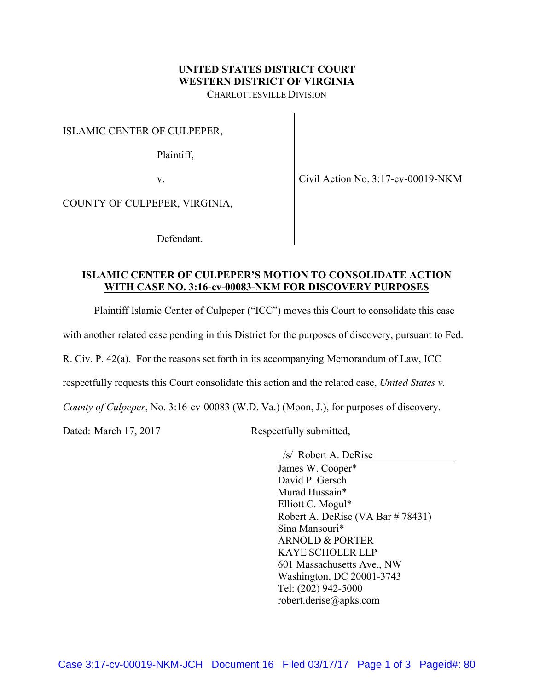#### UNITED STATES DISTRICT COURT WESTERN DISTRICT OF VIRGINIA CHARLOTTESVILLE DIVISION

ISLAMIC CENTER OF CULPEPER,

Plaintiff,

v.

Civil Action No. 3:17-cv-00019-NKM

COUNTY OF CULPEPER, VIRGINIA,

Defendant.

# ISLAMIC CENTER OF CULPEPER'S MOTION TO CONSOLIDATE ACTION WITH CASE NO. 3:16-cv-00083-NKM FOR DISCOVERY PURPOSES

Plaintiff Islamic Center of Culpeper ("ICC") moves this Court to consolidate this case

with another related case pending in this District for the purposes of discovery, pursuant to Fed.

R. Civ. P. 42(a). For the reasons set forth in its accompanying Memorandum of Law, ICC

respectfully requests this Court consolidate this action and the related case, United States v.

County of Culpeper, No. 3:16-cv-00083 (W.D. Va.) (Moon, J.), for purposes of discovery.

Dated: March 17, 2017 Respectfully submitted,

 /s/ Robert A. DeRise James W. Cooper\* David P. Gersch Murad Hussain\* Elliott C. Mogul\* Robert A. DeRise (VA Bar # 78431) Sina Mansouri\* ARNOLD & PORTER KAYE SCHOLER LLP 601 Massachusetts Ave., NW Washington, DC 20001-3743 Tel: (202) 942-5000 robert.derise@apks.com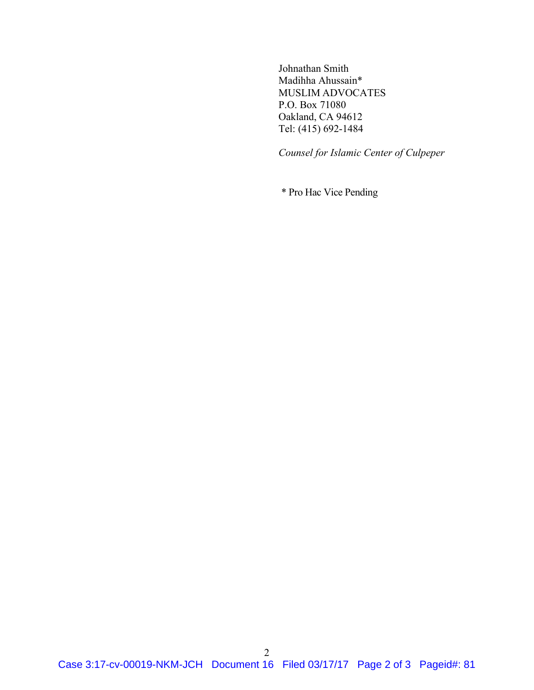Johnathan Smith Madihha Ahussain\* MUSLIM ADVOCATES P.O. Box 71080 Oakland, CA 94612 Tel: (415) 692-1484

Counsel for Islamic Center of Culpeper

\* Pro Hac Vice Pending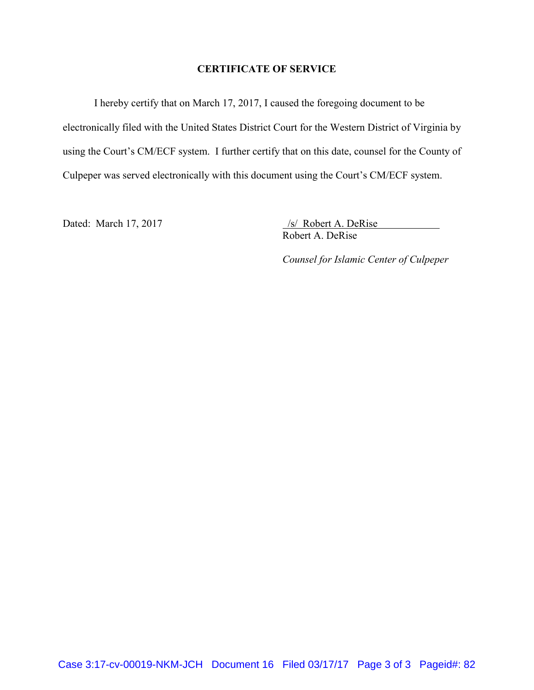# CERTIFICATE OF SERVICE

I hereby certify that on March 17, 2017, I caused the foregoing document to be electronically filed with the United States District Court for the Western District of Virginia by using the Court's CM/ECF system. I further certify that on this date, counsel for the County of Culpeper was served electronically with this document using the Court's CM/ECF system.

Dated: March 17, 2017 /s/ Robert A. DeRise Robert A. DeRise

Counsel for Islamic Center of Culpeper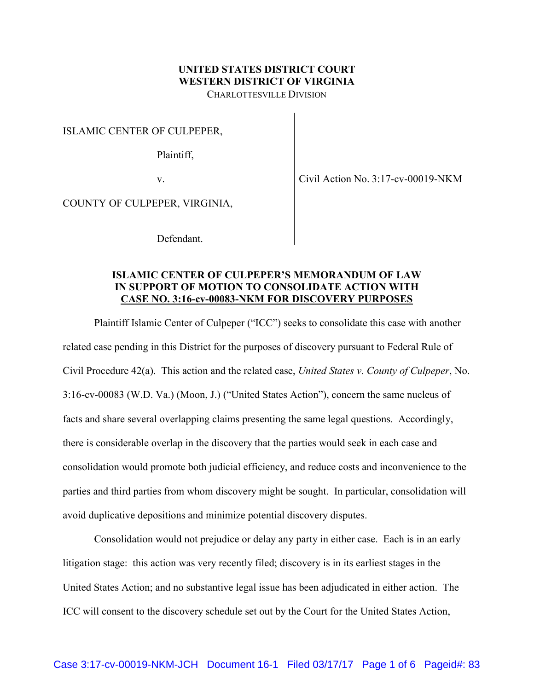#### UNITED STATES DISTRICT COURT WESTERN DISTRICT OF VIRGINIA CHARLOTTESVILLE DIVISION

ISLAMIC CENTER OF CULPEPER,

Plaintiff,

v.

Civil Action No. 3:17-cv-00019-NKM

COUNTY OF CULPEPER, VIRGINIA,

Defendant.

# ISLAMIC CENTER OF CULPEPER'S MEMORANDUM OF LAW IN SUPPORT OF MOTION TO CONSOLIDATE ACTION WITH CASE NO. 3:16-cv-00083-NKM FOR DISCOVERY PURPOSES

Plaintiff Islamic Center of Culpeper ("ICC") seeks to consolidate this case with another related case pending in this District for the purposes of discovery pursuant to Federal Rule of Civil Procedure 42(a). This action and the related case, United States v. County of Culpeper, No. 3:16-cv-00083 (W.D. Va.) (Moon, J.) ("United States Action"), concern the same nucleus of facts and share several overlapping claims presenting the same legal questions. Accordingly, there is considerable overlap in the discovery that the parties would seek in each case and consolidation would promote both judicial efficiency, and reduce costs and inconvenience to the parties and third parties from whom discovery might be sought. In particular, consolidation will avoid duplicative depositions and minimize potential discovery disputes.

Consolidation would not prejudice or delay any party in either case. Each is in an early litigation stage: this action was very recently filed; discovery is in its earliest stages in the United States Action; and no substantive legal issue has been adjudicated in either action. The ICC will consent to the discovery schedule set out by the Court for the United States Action,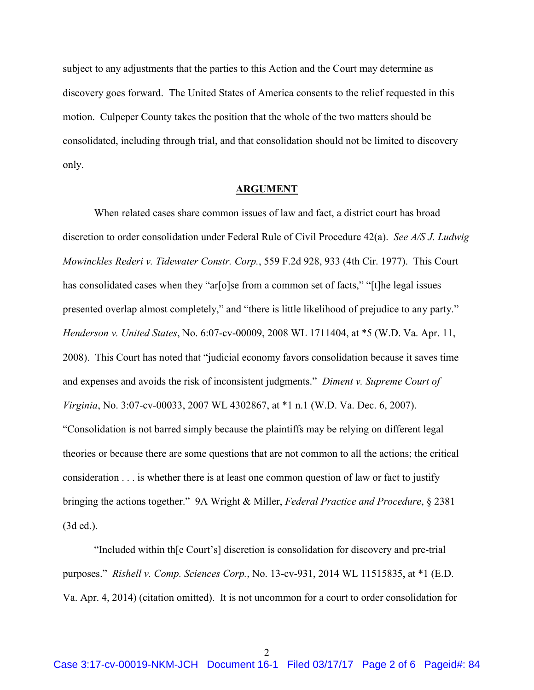subject to any adjustments that the parties to this Action and the Court may determine as discovery goes forward. The United States of America consents to the relief requested in this motion. Culpeper County takes the position that the whole of the two matters should be consolidated, including through trial, and that consolidation should not be limited to discovery only.

#### ARGUMENT

When related cases share common issues of law and fact, a district court has broad discretion to order consolidation under Federal Rule of Civil Procedure 42(a). See A/S J. Ludwig Mowinckles Rederi v. Tidewater Constr. Corp., 559 F.2d 928, 933 (4th Cir. 1977). This Court has consolidated cases when they "ar[o]se from a common set of facts," "[t]he legal issues presented overlap almost completely," and "there is little likelihood of prejudice to any party." Henderson v. United States, No. 6:07-cv-00009, 2008 WL 1711404, at \*5 (W.D. Va. Apr. 11, 2008). This Court has noted that "judicial economy favors consolidation because it saves time and expenses and avoids the risk of inconsistent judgments." Diment v. Supreme Court of Virginia, No. 3:07-cv-00033, 2007 WL 4302867, at \*1 n.1 (W.D. Va. Dec. 6, 2007). "Consolidation is not barred simply because the plaintiffs may be relying on different legal theories or because there are some questions that are not common to all the actions; the critical consideration . . . is whether there is at least one common question of law or fact to justify bringing the actions together." 9A Wright & Miller, Federal Practice and Procedure, § 2381 (3d ed.).

"Included within th[e Court's] discretion is consolidation for discovery and pre-trial purposes." Rishell v. Comp. Sciences Corp., No. 13-cv-931, 2014 WL 11515835, at \*1 (E.D. Va. Apr. 4, 2014) (citation omitted). It is not uncommon for a court to order consolidation for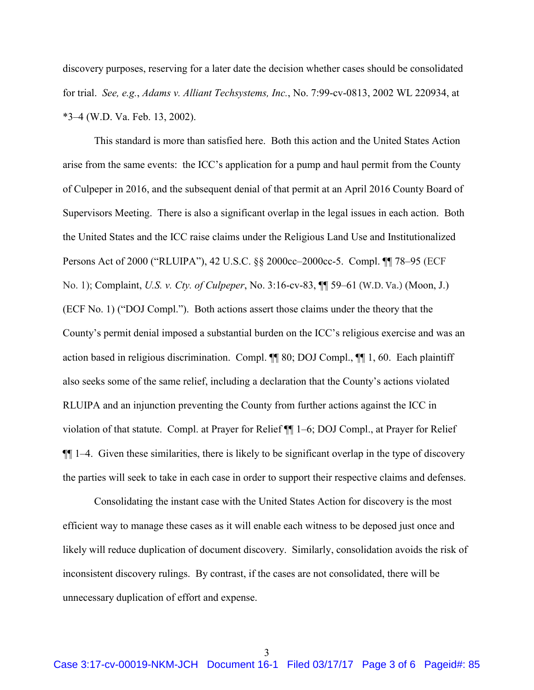discovery purposes, reserving for a later date the decision whether cases should be consolidated for trial. See, e.g., Adams v. Alliant Techsystems, Inc., No. 7:99-cv-0813, 2002 WL 220934, at \*3–4 (W.D. Va. Feb. 13, 2002).

This standard is more than satisfied here. Both this action and the United States Action arise from the same events: the ICC's application for a pump and haul permit from the County of Culpeper in 2016, and the subsequent denial of that permit at an April 2016 County Board of Supervisors Meeting. There is also a significant overlap in the legal issues in each action. Both the United States and the ICC raise claims under the Religious Land Use and Institutionalized Persons Act of 2000 ("RLUIPA"), 42 U.S.C. §§ 2000cc–2000cc-5. Compl. ¶¶ 78–95 (ECF No. 1); Complaint, U.S. v. Cty. of Culpeper, No. 3:16-cv-83, ¶¶ 59–61 (W.D. Va.) (Moon, J.) (ECF No. 1) ("DOJ Compl."). Both actions assert those claims under the theory that the County's permit denial imposed a substantial burden on the ICC's religious exercise and was an action based in religious discrimination. Compl. ¶¶ 80; DOJ Compl., ¶¶ 1, 60. Each plaintiff also seeks some of the same relief, including a declaration that the County's actions violated RLUIPA and an injunction preventing the County from further actions against the ICC in violation of that statute. Compl. at Prayer for Relief ¶¶ 1–6; DOJ Compl., at Prayer for Relief  $\P$ [ $\parallel$  1–4. Given these similarities, there is likely to be significant overlap in the type of discovery the parties will seek to take in each case in order to support their respective claims and defenses.

Consolidating the instant case with the United States Action for discovery is the most efficient way to manage these cases as it will enable each witness to be deposed just once and likely will reduce duplication of document discovery. Similarly, consolidation avoids the risk of inconsistent discovery rulings. By contrast, if the cases are not consolidated, there will be unnecessary duplication of effort and expense.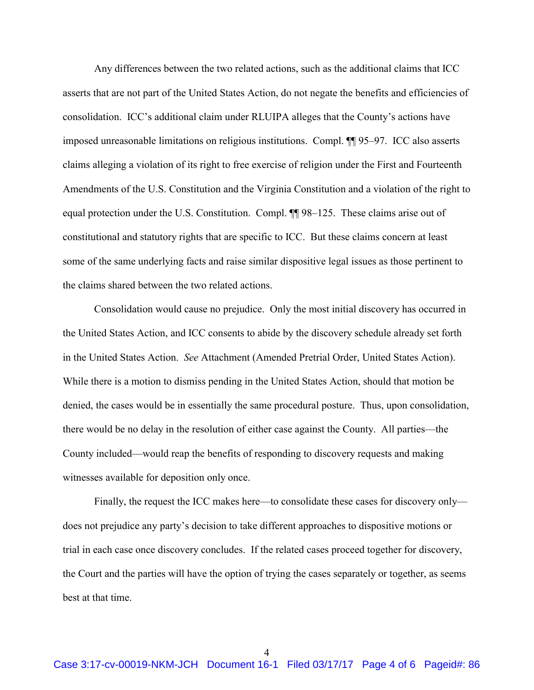Any differences between the two related actions, such as the additional claims that ICC asserts that are not part of the United States Action, do not negate the benefits and efficiencies of consolidation. ICC's additional claim under RLUIPA alleges that the County's actions have imposed unreasonable limitations on religious institutions. Compl. ¶¶ 95–97. ICC also asserts claims alleging a violation of its right to free exercise of religion under the First and Fourteenth Amendments of the U.S. Constitution and the Virginia Constitution and a violation of the right to equal protection under the U.S. Constitution. Compl. ¶¶ 98–125. These claims arise out of constitutional and statutory rights that are specific to ICC. But these claims concern at least some of the same underlying facts and raise similar dispositive legal issues as those pertinent to the claims shared between the two related actions.

Consolidation would cause no prejudice. Only the most initial discovery has occurred in the United States Action, and ICC consents to abide by the discovery schedule already set forth in the United States Action. See Attachment (Amended Pretrial Order, United States Action). While there is a motion to dismiss pending in the United States Action, should that motion be denied, the cases would be in essentially the same procedural posture. Thus, upon consolidation, there would be no delay in the resolution of either case against the County. All parties—the County included—would reap the benefits of responding to discovery requests and making witnesses available for deposition only once.

Finally, the request the ICC makes here—to consolidate these cases for discovery only does not prejudice any party's decision to take different approaches to dispositive motions or trial in each case once discovery concludes. If the related cases proceed together for discovery, the Court and the parties will have the option of trying the cases separately or together, as seems best at that time.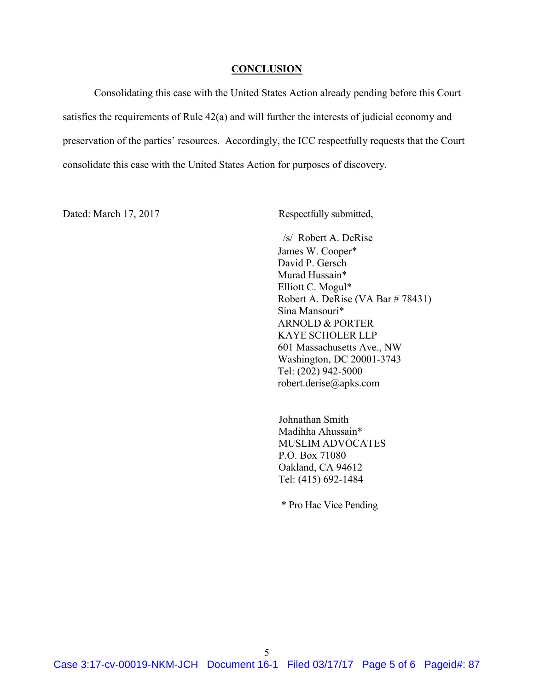#### **CONCLUSION**

Consolidating this case with the United States Action already pending before this Court satisfies the requirements of Rule 42(a) and will further the interests of judicial economy and preservation of the parties' resources. Accordingly, the ICC respectfully requests that the Court consolidate this case with the United States Action for purposes of discovery.

Dated: March 17, 2017 Respectfully submitted,

 /s/ Robert A. DeRise James W. Cooper\* David P. Gersch Murad Hussain\* Elliott C. Mogul\* Robert A. DeRise (VA Bar # 78431) Sina Mansouri\* ARNOLD & PORTER KAYE SCHOLER LLP 601 Massachusetts Ave., NW Washington, DC 20001-3743 Tel: (202) 942-5000 robert.derise@apks.com

Johnathan Smith Madihha Ahussain\* MUSLIM ADVOCATES P.O. Box 71080 Oakland, CA 94612 Tel: (415) 692-1484

\* Pro Hac Vice Pending